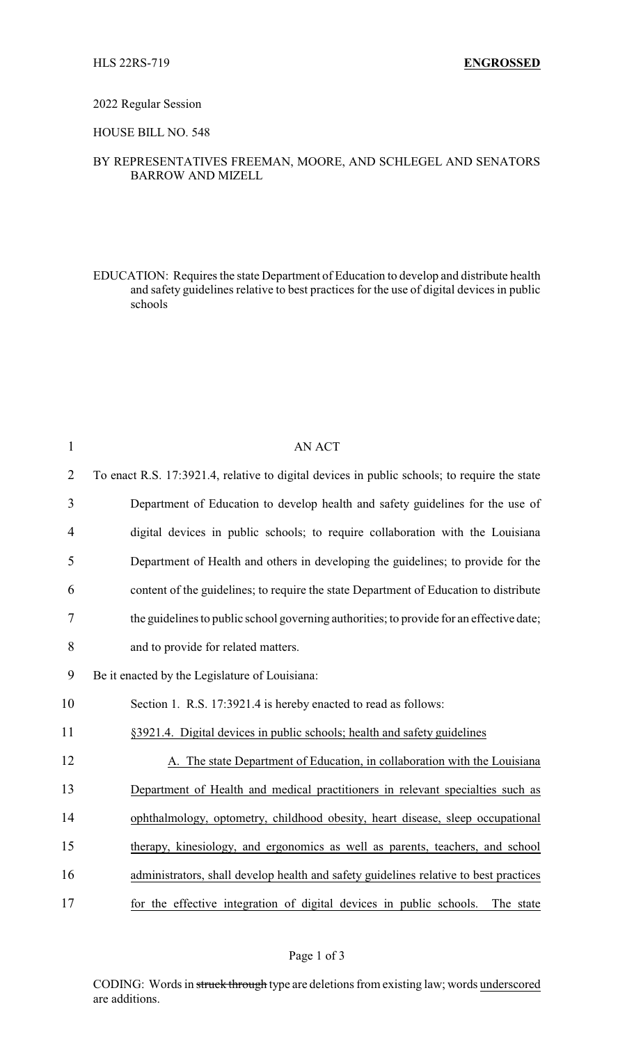#### 2022 Regular Session

## HOUSE BILL NO. 548

### BY REPRESENTATIVES FREEMAN, MOORE, AND SCHLEGEL AND SENATORS BARROW AND MIZELL

EDUCATION: Requires the state Department of Education to develop and distribute health and safety guidelines relative to best practices for the use of digital devices in public schools

| $\mathbf{1}$   | <b>AN ACT</b>                                                                                |
|----------------|----------------------------------------------------------------------------------------------|
| $\overline{2}$ | To enact R.S. 17:3921.4, relative to digital devices in public schools; to require the state |
| 3              | Department of Education to develop health and safety guidelines for the use of               |
| 4              | digital devices in public schools; to require collaboration with the Louisiana               |
| 5              | Department of Health and others in developing the guidelines; to provide for the             |
| 6              | content of the guidelines; to require the state Department of Education to distribute        |
| 7              | the guidelines to public school governing authorities; to provide for an effective date;     |
| 8              | and to provide for related matters.                                                          |
| 9              | Be it enacted by the Legislature of Louisiana:                                               |
| 10             | Section 1. R.S. 17:3921.4 is hereby enacted to read as follows:                              |
| 11             | §3921.4. Digital devices in public schools; health and safety guidelines                     |
| 12             | A. The state Department of Education, in collaboration with the Louisiana                    |
| 13             | Department of Health and medical practitioners in relevant specialties such as               |
| 14             | ophthalmology, optometry, childhood obesity, heart disease, sleep occupational               |
| 15             | therapy, kinesiology, and ergonomics as well as parents, teachers, and school                |
| 16             | administrators, shall develop health and safety guidelines relative to best practices        |
| 17             | for the effective integration of digital devices in public schools.<br>The state             |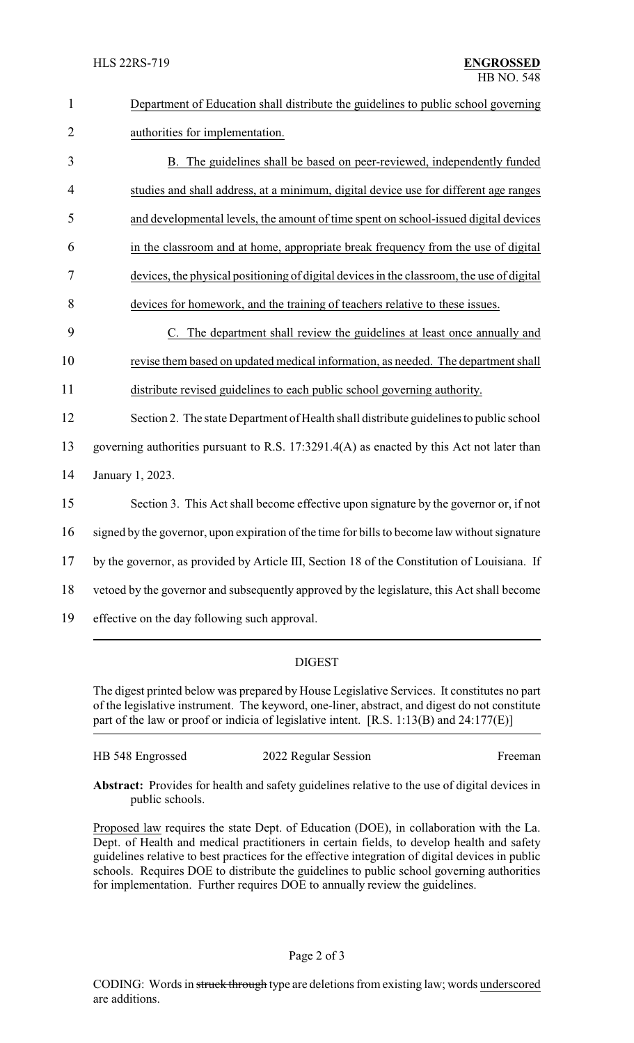| $\mathbf{1}$   | Department of Education shall distribute the guidelines to public school governing            |
|----------------|-----------------------------------------------------------------------------------------------|
| $\overline{2}$ | authorities for implementation.                                                               |
| 3              | B. The guidelines shall be based on peer-reviewed, independently funded                       |
| 4              | studies and shall address, at a minimum, digital device use for different age ranges          |
| 5              | and developmental levels, the amount of time spent on school-issued digital devices           |
| 6              | in the classroom and at home, appropriate break frequency from the use of digital             |
| 7              | devices, the physical positioning of digital devices in the classroom, the use of digital     |
| 8              | devices for homework, and the training of teachers relative to these issues.                  |
| 9              | C. The department shall review the guidelines at least once annually and                      |
| 10             | revise them based on updated medical information, as needed. The department shall             |
| 11             | distribute revised guidelines to each public school governing authority.                      |
| 12             | Section 2. The state Department of Health shall distribute guidelines to public school        |
| 13             | governing authorities pursuant to R.S. 17:3291.4(A) as enacted by this Act not later than     |
| 14             | January 1, 2023.                                                                              |
| 15             | Section 3. This Act shall become effective upon signature by the governor or, if not          |
| 16             | signed by the governor, upon expiration of the time for bills to become law without signature |
| 17             | by the governor, as provided by Article III, Section 18 of the Constitution of Louisiana. If  |
| 18             | vetoed by the governor and subsequently approved by the legislature, this Act shall become    |

19 effective on the day following such approval.

# DIGEST

The digest printed below was prepared by House Legislative Services. It constitutes no part of the legislative instrument. The keyword, one-liner, abstract, and digest do not constitute part of the law or proof or indicia of legislative intent. [R.S. 1:13(B) and 24:177(E)]

| HB 548 Engrossed | 2022 Regular Session | Freeman |
|------------------|----------------------|---------|
|                  |                      |         |

**Abstract:** Provides for health and safety guidelines relative to the use of digital devices in public schools.

Proposed law requires the state Dept. of Education (DOE), in collaboration with the La. Dept. of Health and medical practitioners in certain fields, to develop health and safety guidelines relative to best practices for the effective integration of digital devices in public schools. Requires DOE to distribute the guidelines to public school governing authorities for implementation. Further requires DOE to annually review the guidelines.